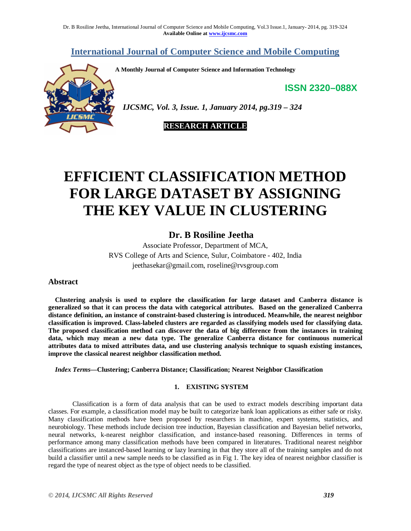**International Journal of Computer Science and Mobile Computing**

**A Monthly Journal of Computer Science and Information Technology**

**ISSN 2320–088X**



 *IJCSMC, Vol. 3, Issue. 1, January 2014, pg.319 – 324*

# **RESEARCH ARTICLE**

# **EFFICIENT CLASSIFICATION METHOD FOR LARGE DATASET BY ASSIGNING THE KEY VALUE IN CLUSTERING**

# **Dr. B Rosiline Jeetha**

Associate Professor, Department of MCA, RVS College of Arts and Science, Sulur, Coimbatore - 402, India jeethasekar@gmail.com, roseline@rvsgroup.com

# **Abstract**

**Clustering analysis is used to explore the classification for large dataset and Canberra distance is generalized so that it can process the data with categorical attributes. Based on the generalized Canberra distance definition, an instance of constraint-based clustering is introduced. Meanwhile, the nearest neighbor classification is improved. Class-labeled clusters are regarded as classifying models used for classifying data. The proposed classification method can discover the data of big difference from the instances in training data, which may mean a new data type. The generalize Canberra distance for continuous numerical attributes data to mixed attributes data, and use clustering analysis technique to squash existing instances, improve the classical nearest neighbor classification method.**

*Index Terms***—Clustering; Canberra Distance; Classification; Nearest Neighbor Classification**

# **1. EXISTING SYSTEM**

Classification is a form of data analysis that can be used to extract models describing important data classes. For example, a classification model may be built to categorize bank loan applications as either safe or risky. Many classification methods have been proposed by researchers in machine, expert systems, statistics, and neurobiology. These methods include decision tree induction, Bayesian classification and Bayesian belief networks, neural networks, k-nearest neighbor classification, and instance-based reasoning. Differences in terms of performance among many classification methods have been compared in literatures. Traditional nearest neighbor classifications are instanced-based learning or lazy learning in that they store all of the training samples and do not build a classifier until a new sample needs to be classified as in Fig 1. The key idea of nearest neighbor classifier is regard the type of nearest object as the type of object needs to be classified.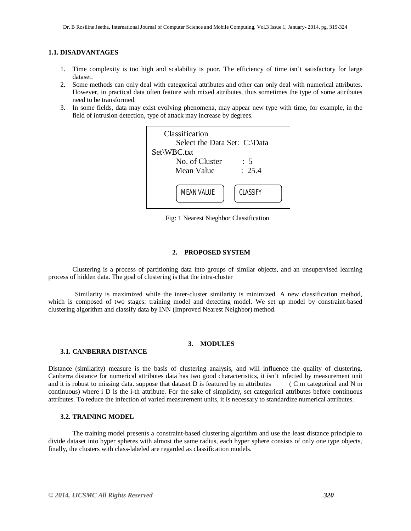# **1.1. DISADVANTAGES**

- 1. Time complexity is too high and scalability is poor. The efficiency of time isn't satisfactory for large dataset.
- 2. Some methods can only deal with categorical attributes and other can only deal with numerical attributes. However, in practical data often feature with mixed attributes, thus sometimes the type of some attributes need to be transformed.
- 3. In some fields, data may exist evolving phenomena, may appear new type with time, for example, in the field of intrusion detection, type of attack may increase by degrees.



Fig: 1 Nearest Nieghbor Classification

#### **2. PROPOSED SYSTEM**

Clustering is a process of partitioning data into groups of similar objects, and an unsupervised learning process of hidden data. The goal of clustering is that the intra-cluster

 Similarity is maximized while the inter-cluster similarity is minimized. A new classification method, which is composed of two stages: training model and detecting model. We set up model by constraint-based clustering algorithm and classify data by INN (Improved Nearest Neighbor) method.

## **3. MODULES**

# **3.1. CANBERRA DISTANCE**

Distance (similarity) measure is the basis of clustering analysis, and will influence the quality of clustering. Canberra distance for numerical attributes data has two good characteristics, it isn't infected by measurement unit and it is robust to missing data. suppose that dataset D is featured by m attributes ( C m categorical and N m continuous) where i D is the i-th attribute. For the sake of simplicity, set categorical attributes before continuous attributes. To reduce the infection of varied measurement units, it is necessary to standardize numerical attributes.

# **3.2. TRAINING MODEL**

The training model presents a constraint-based clustering algorithm and use the least distance principle to divide dataset into hyper spheres with almost the same radius, each hyper sphere consists of only one type objects, finally, the clusters with class-labeled are regarded as classification models.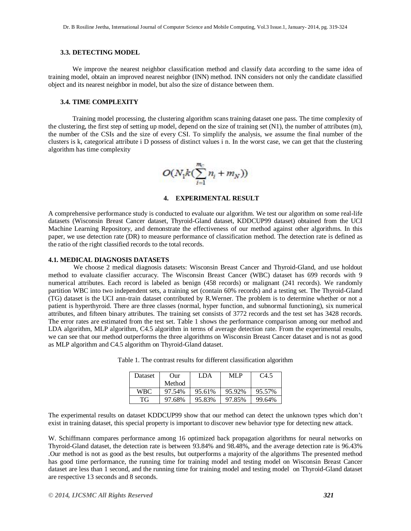### **3.3. DETECTING MODEL**

We improve the nearest neighbor classification method and classify data according to the same idea of training model, obtain an improved nearest neighbor (INN) method. INN considers not only the candidate classified object and its nearest neighbor in model, but also the size of distance between them.

## **3.4. TIME COMPLEXITY**

Training model processing, the clustering algorithm scans training dataset one pass. The time complexity of the clustering, the first step of setting up model, depend on the size of training set  $(N1)$ , the number of attributes  $(m)$ , the number of the CSIs and the size of every CSI. To simplify the analysis, we assume the final number of the clusters is k, categorical attribute i D possess of distinct values i n. In the worst case, we can get that the clustering algorithm has time complexity



**4. EXPERIMENTAL RESULT**

A comprehensive performance study is conducted to evaluate our algorithm. We test our algorithm on some real-life datasets (Wisconsin Breast Cancer dataset, Thyroid-Gland dataset, KDDCUP99 dataset) obtained from the UCI Machine Learning Repository, and demonstrate the effectiveness of our method against other algorithms. In this paper, we use detection rate (DR) to measure performance of classification method. The detection rate is defined as the ratio of the right classified records to the total records.

#### **4.1. MEDICAL DIAGNOSIS DATASETS**

 We choose 2 medical diagnosis datasets: Wisconsin Breast Cancer and Thyroid-Gland, and use holdout method to evaluate classifier accuracy. The Wisconsin Breast Cancer (WBC) dataset has 699 records with 9 numerical attributes. Each record is labeled as benign (458 records) or malignant (241 records). We randomly partition WBC into two independent sets, a training set (contain 60% records) and a testing set. The Thyroid-Gland (TG) dataset is the UCI ann-train dataset contributed by R.Werner. The problem is to determine whether or not a patient is hyperthyroid. There are three classes (normal, hyper function, and subnormal functioning), six numerical attributes, and fifteen binary attributes. The training set consists of 3772 records and the test set has 3428 records. The error rates are estimated from the test set. Table 1 shows the performance comparison among our method and LDA algorithm, MLP algorithm, C4.5 algorithm in terms of average detection rate. From the experimental results, we can see that our method outperforms the three algorithms on Wisconsin Breast Cancer dataset and is not as good as MLP algorithm and C4.5 algorithm on Thyroid-Gland dataset.

| <b>Dataset</b> | $_{\rm Our}$ | LDA    | ML P   | C <sub>4.5</sub> |
|----------------|--------------|--------|--------|------------------|
|                | Method       |        |        |                  |
| <b>WBC</b>     | 97.54%       | 95.61% | 95.92% | 95.57%           |
| TG             | 97.68%       | 95.83% | 97.85% | 99.64%           |

Table 1. The contrast results for different classification algorithm

The experimental results on dataset KDDCUP99 show that our method can detect the unknown types which don't exist in training dataset, this special property is important to discover new behavior type for detecting new attack.

W. Schiffmann compares performance among 16 optimized back propagation algorithms for neural networks on Thyroid-Gland dataset, the detection rate is between 93.84% and 98.48%, and the average detection rate is 96.43% .Our method is not as good as the best results, but outperforms a majority of the algorithms The presented method has good time performance, the running time for training model and testing model on Wisconsin Breast Cancer dataset are less than 1 second, and the running time for training model and testing model on Thyroid-Gland dataset are respective 13 seconds and 8 seconds.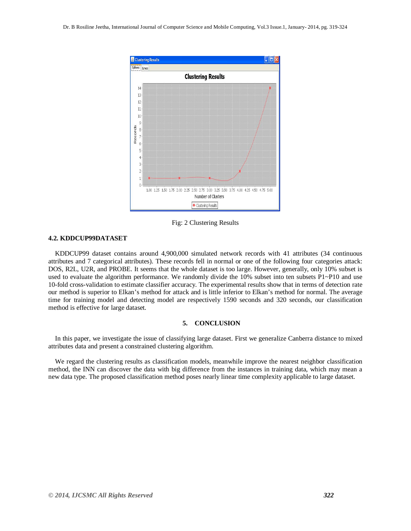

Fig: 2 Clustering Results

# **4.2. KDDCUP99DATASET**

KDDCUP99 dataset contains around 4,900,000 simulated network records with 41 attributes (34 continuous attributes and 7 categorical attributes). These records fell in normal or one of the following four categories attack: DOS, R2L, U2R, and PROBE. It seems that the whole dataset is too large. However, generally, only 10% subset is used to evaluate the algorithm performance. We randomly divide the 10% subset into ten subsets P1~P10 and use 10-fold cross-validation to estimate classifier accuracy. The experimental results show that in terms of detection rate our method is superior to Elkan's method for attack and is little inferior to Elkan's method for normal. The average time for training model and detecting model are respectively 1590 seconds and 320 seconds, our classification method is effective for large dataset.

#### **5. CONCLUSION**

In this paper, we investigate the issue of classifying large dataset. First we generalize Canberra distance to mixed attributes data and present a constrained clustering algorithm.

We regard the clustering results as classification models, meanwhile improve the nearest neighbor classification method, the INN can discover the data with big difference from the instances in training data, which may mean a new data type. The proposed classification method poses nearly linear time complexity applicable to large dataset.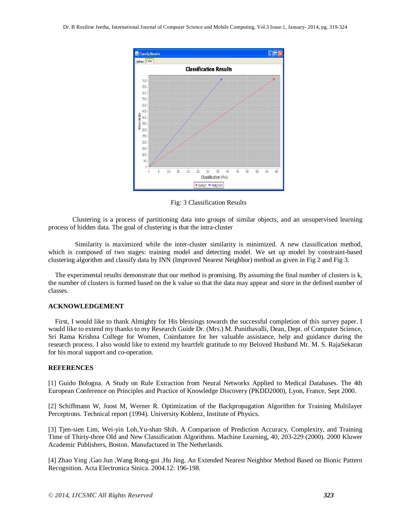

Fig: 3 Classification Results

Clustering is a process of partitioning data into groups of similar objects, and an unsupervised learning process of hidden data. The goal of clustering is that the intra-cluster

 Similarity is maximized while the inter-cluster similarity is minimized. A new classification method, which is composed of two stages: training model and detecting model. We set up model by constraint-based clustering algorithm and classify data by INN (Improved Nearest Neighbor) method as given in Fig 2 and Fig 3.

The experimental results demonstrate that our method is promising. By assuming the final number of clusters is k, the number of clusters is formed based on the k value so that the data may appear and store in the defined number of classes.

#### **ACKNOWLEDGEMENT**

First, I would like to thank Almighty for His blessings towards the successful completion of this survey paper. I would like to extend my thanks to my Research Guide Dr. (Mrs.) M. Punithavalli, Dean, Dept. of Computer Science, Sri Rama Krishna College for Women, Coimbatore for her valuable assistance, help and guidance during the research process. I also would like to extend my heartfelt gratitude to my Beloved Husband Mr. M. S. RajaSekaran for his moral support and co-operation.

#### **REFERENCES**

[1] Guido Bologna. A Study on Rule Extraction from Neural Networks Applied to Medical Databases. The 4th European Conference on Principles and Practice of Knowledge Discovery (PKDD2000), Lyon, France, Sept 2000.

[2] Schiffmann W, Joost M, Werner R. Optimization of the Backpropagation Algorithm for Training Multilayer Perceptrons. Technical report (1994). University Koblenz, Institute of Physics.

[3] Tjen-sien Lim, Wei-yin Loh,Yu-shan Shih. A Comparison of Prediction Accuracy, Complexity, and Training Time of Thirty-three Old and New Classification Algorithms. Machine Learning, 40, 203-229 (2000). 2000 Kluwer Academic Publishers, Boston. Manufactured in The Netherlands.

[4] Zhao Ying ,Gao Jun ,Wang Rong-gui ,Hu Jing. An Extended Nearest Neighbor Method Based on Bionic Pattern Recognition. Acta Electronica Sinica. 2004.12: 196-198.